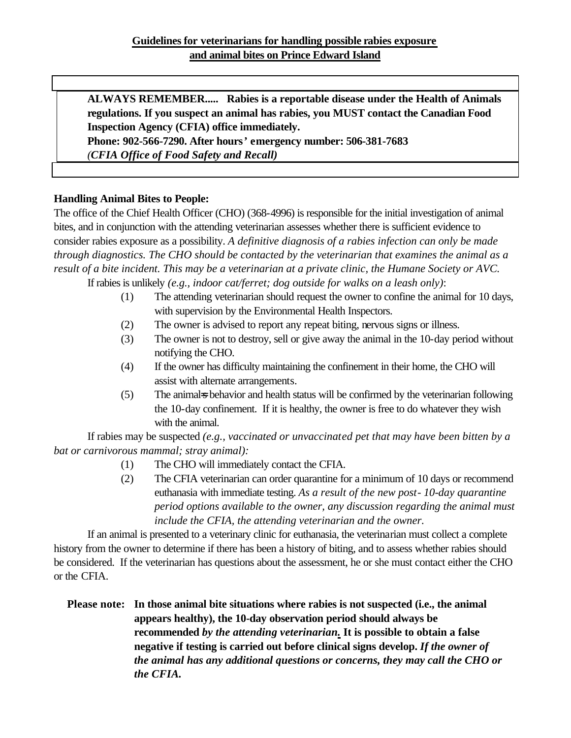**ALWAYS REMEMBER..... Rabies is a reportable disease under the Health of Animals regulations. If you suspect an animal has rabies, you MUST contact the Canadian Food Inspection Agency (CFIA) office immediately.**

**Phone: 902-566-7290. After hours' emergency number: 506-381-7683**  *(CFIA Office of Food Safety and Recall)*

# **Handling Animal Bites to People:**

The office of the Chief Health Officer (CHO) (368-4996) is responsible for the initial investigation of animal bites, and in conjunction with the attending veterinarian assesses whether there is sufficient evidence to consider rabies exposure as a possibility. *A definitive diagnosis of a rabies infection can only be made through diagnostics. The CHO should be contacted by the veterinarian that examines the animal as a result of a bite incident. This may be a veterinarian at a private clinic, the Humane Society or AVC.*

If rabies is unlikely *(e.g., indoor cat/ferret; dog outside for walks on a leash only)*:

- (1) The attending veterinarian should request the owner to confine the animal for 10 days, with supervision by the Environmental Health Inspectors.
- (2) The owner is advised to report any repeat biting, nervous signs or illness.
- (3) The owner is not to destroy, sell or give away the animal in the 10-day period without notifying the CHO.
- (4) If the owner has difficulty maintaining the confinement in their home, the CHO will assist with alternate arrangements.
- (5) The animales behavior and health status will be confirmed by the veterinarian following the 10-day confinement. If it is healthy, the owner is free to do whatever they wish with the animal.

If rabies may be suspected *(e.g., vaccinated or unvaccinated pet that may have been bitten by a bat or carnivorous mammal; stray animal):*

- (1) The CHO will immediately contact the CFIA.
- (2) The CFIA veterinarian can order quarantine for a minimum of 10 days or recommend euthanasia with immediate testing. *As a result of the new post- 10-day quarantine period options available to the owner, any discussion regarding the animal must include the CFIA, the attending veterinarian and the owner.*

If an animal is presented to a veterinary clinic for euthanasia, the veterinarian must collect a complete history from the owner to determine if there has been a history of biting, and to assess whether rabies should be considered. If the veterinarian has questions about the assessment, he or she must contact either the CHO or the CFIA.

**Please note: In those animal bite situations where rabies is not suspected (i.e., the animal appears healthy), the 10-day observation period should always be recommended** *by the attending veterinarian.* **It is possible to obtain a false negative if testing is carried out before clinical signs develop.** *If the owner of the animal has any additional questions or concerns, they may call the CHO or the CFIA.*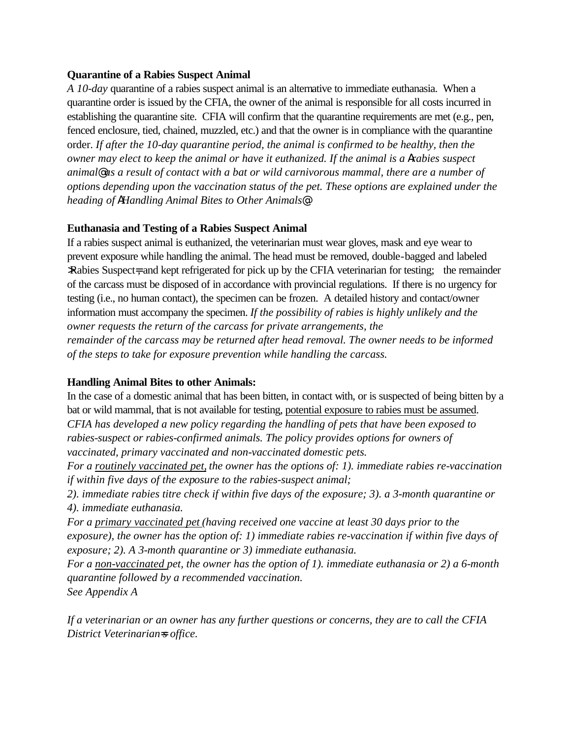### **Quarantine of a Rabies Suspect Animal**

*A 10-day* quarantine of a rabies suspect animal is an alternative to immediate euthanasia. When a quarantine order is issued by the CFIA, the owner of the animal is responsible for all costs incurred in establishing the quarantine site. CFIA will confirm that the quarantine requirements are met (e.g., pen, fenced enclosure, tied, chained, muzzled, etc.) and that the owner is in compliance with the quarantine order. *If after the 10-day quarantine period, the animal is confirmed to be healthy, then the owner may elect to keep the animal or have it euthanized. If the animal is a Arabies suspect animal@ as a result of contact with a bat or wild carnivorous mammal, there are a number of option*s *depending upon the vaccination status of the pet. These options are explained under the heading of AHandling Animal Bites to Other Animals@.*

# **Euthanasia and Testing of a Rabies Suspect Animal**

If a rabies suspect animal is euthanized, the veterinarian must wear gloves, mask and eye wear to prevent exposure while handling the animal. The head must be removed, double-bagged and labeled >Rabies Suspect=, and kept refrigerated for pick up by the CFIA veterinarian for testing; the remainder of the carcass must be disposed of in accordance with provincial regulations. If there is no urgency for testing (i.e., no human contact), the specimen can be frozen. A detailed history and contact/owner information must accompany the specimen. *If the possibility of rabies is highly unlikely and the owner requests the return of the carcass for private arrangements, the remainder of the carcass may be returned after head removal. The owner needs to be informed of the steps to take for exposure prevention while handling the carcass.*

### **Handling Animal Bites to other Animals:**

In the case of a domestic animal that has been bitten, in contact with, or is suspected of being bitten by a bat or wild mammal, that is not available for testing, potential exposure to rabies must be assumed. *CFIA has developed a new policy regarding the handling of pets that have been exposed to rabies-suspect or rabies-confirmed animals. The policy provides options for owners of vaccinated, primary vaccinated and non-vaccinated domestic pets.* 

*For a routinely vaccinated pet, the owner has the options of: 1). immediate rabies re-vaccination if within five days of the exposure to the rabies-suspect animal;* 

*2). immediate rabies titre check if within five days of the exposure; 3). a 3-month quarantine or 4). immediate euthanasia.*

*For a primary vaccinated pet (having received one vaccine at least 30 days prior to the exposure), the owner has the option of: 1) immediate rabies re-vaccination if within five days of exposure; 2). A 3-month quarantine or 3) immediate euthanasia.*

*For a non-vaccinated pet, the owner has the option of 1). immediate euthanasia or 2) a 6-month quarantine followed by a recommended vaccination.* 

*See Appendix A*

*If a veterinarian or an owner has any further questions or concerns, they are to call the CFIA District Veterinarian=s office.*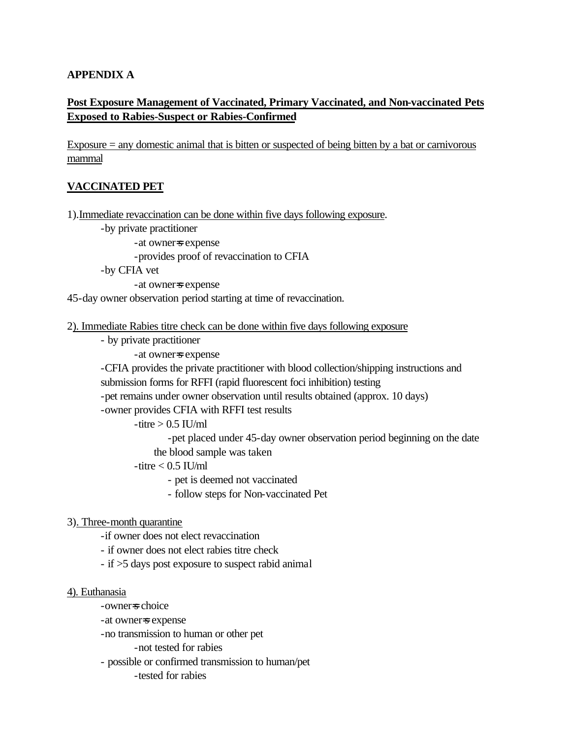### **APPENDIX A**

# **Post Exposure Management of Vaccinated, Primary Vaccinated, and Non-vaccinated Pets Exposed to Rabies-Suspect or Rabies-Confirmed**

Exposure = any domestic animal that is bitten or suspected of being bitten by a bat or carnivorous mammal

### **VACCINATED PET**

1).Immediate revaccination can be done within five days following exposure.

-by private practitioner

-at owner=s expense

-provides proof of revaccination to CFIA

-by CFIA vet

-at owner=s expense

45-day owner observation period starting at time of revaccination.

#### 2). Immediate Rabies titre check can be done within five days following exposure

- by private practitioner
	- -at owner=s expense

-CFIA provides the private practitioner with blood collection/shipping instructions and submission forms for RFFI (rapid fluorescent foci inhibition) testing

-pet remains under owner observation until results obtained (approx. 10 days)

-owner provides CFIA with RFFI test results

```
-titre > 0.5 IU/ml
```
-pet placed under 45-day owner observation period beginning on the date the blood sample was taken

 $-$ titre  $< 0.5$  IU/ml

- pet is deemed not vaccinated

- follow steps for Non-vaccinated Pet

#### 3). Three-month quarantine

-if owner does not elect revaccination

- if owner does not elect rabies titre check

- if >5 days post exposure to suspect rabid animal

#### 4). Euthanasia

-owner=s choice

-at owner=s expense

-no transmission to human or other pet

-not tested for rabies

- possible or confirmed transmission to human/pet

-tested for rabies